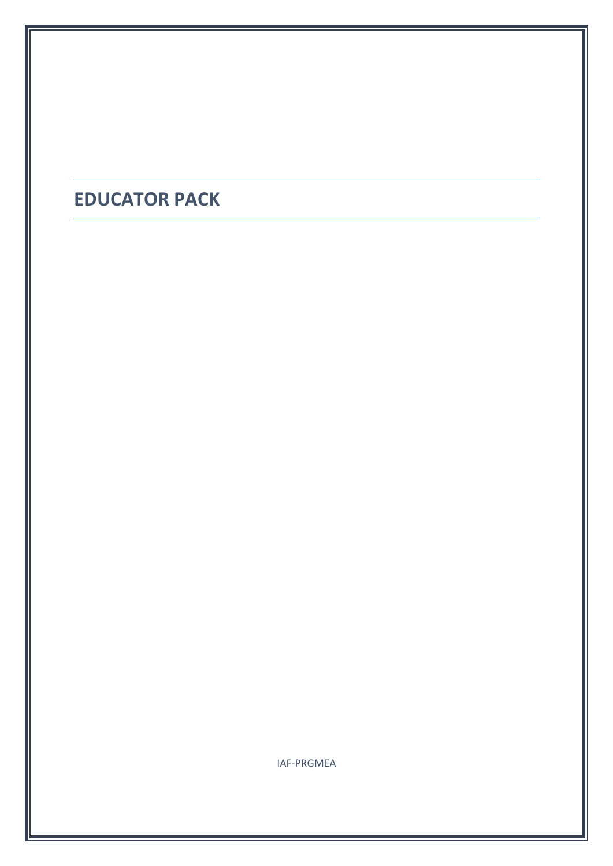## **EDUCATOR PACK**

IAF-PRGMEA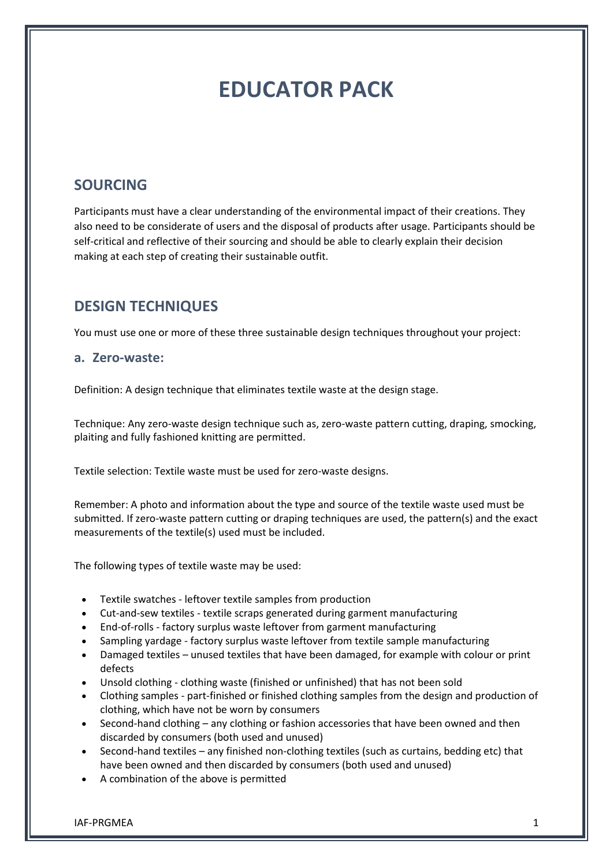# **EDUCATOR PACK**

## **SOURCING**

Participants must have a clear understanding of the environmental impact of their creations. They also need to be considerate of users and the disposal of products after usage. Participants should be self-critical and reflective of their sourcing and should be able to clearly explain their decision making at each step of creating their sustainable outfit.

## **DESIGN TECHNIQUES**

You must use one or more of these three sustainable design techniques throughout your project:

#### **a. Zero-waste:**

Definition: A design technique that eliminates textile waste at the design stage.

Technique: Any zero-waste design technique such as, zero-waste pattern cutting, draping, smocking, plaiting and fully fashioned knitting are permitted.

Textile selection: Textile waste must be used for zero-waste designs.

Remember: A photo and information about the type and source of the textile waste used must be submitted. If zero-waste pattern cutting or draping techniques are used, the pattern(s) and the exact measurements of the textile(s) used must be included.

The following types of textile waste may be used:

- Textile swatches leftover textile samples from production
- Cut-and-sew textiles textile scraps generated during garment manufacturing
- End-of-rolls factory surplus waste leftover from garment manufacturing
- Sampling yardage factory surplus waste leftover from textile sample manufacturing
- Damaged textiles unused textiles that have been damaged, for example with colour or print defects
- Unsold clothing clothing waste (finished or unfinished) that has not been sold
- Clothing samples part-finished or finished clothing samples from the design and production of clothing, which have not be worn by consumers
- Second-hand clothing any clothing or fashion accessories that have been owned and then discarded by consumers (both used and unused)
- Second-hand textiles any finished non-clothing textiles (such as curtains, bedding etc) that have been owned and then discarded by consumers (both used and unused)
- A combination of the above is permitted

IAF-PRGMEA 1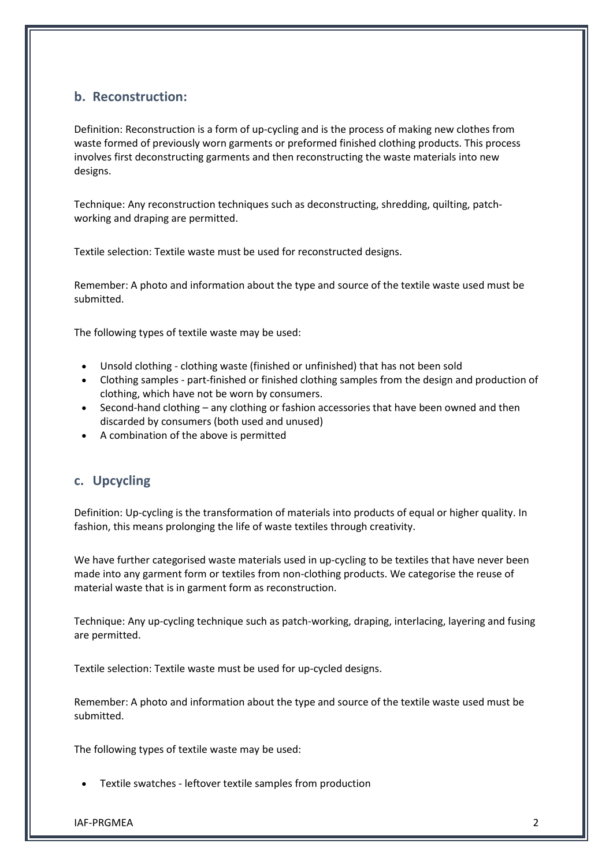### **b. Reconstruction:**

Definition: Reconstruction is a form of up-cycling and is the process of making new clothes from waste formed of previously worn garments or preformed finished clothing products. This process involves first deconstructing garments and then reconstructing the waste materials into new designs.

Technique: Any reconstruction techniques such as deconstructing, shredding, quilting, patchworking and draping are permitted.

Textile selection: Textile waste must be used for reconstructed designs.

Remember: A photo and information about the type and source of the textile waste used must be submitted.

The following types of textile waste may be used:

- Unsold clothing clothing waste (finished or unfinished) that has not been sold
- Clothing samples part-finished or finished clothing samples from the design and production of clothing, which have not be worn by consumers.
- Second-hand clothing any clothing or fashion accessories that have been owned and then discarded by consumers (both used and unused)
- A combination of the above is permitted

#### **c. Upcycling**

Definition: Up-cycling is the transformation of materials into products of equal or higher quality. In fashion, this means prolonging the life of waste textiles through creativity.

We have further categorised waste materials used in up-cycling to be textiles that have never been made into any garment form or textiles from non-clothing products. We categorise the reuse of material waste that is in garment form as reconstruction.

Technique: Any up-cycling technique such as patch-working, draping, interlacing, layering and fusing are permitted.

Textile selection: Textile waste must be used for up-cycled designs.

Remember: A photo and information about the type and source of the textile waste used must be submitted.

The following types of textile waste may be used:

Textile swatches - leftover textile samples from production